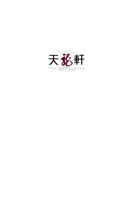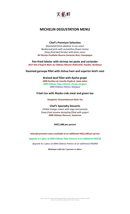

# **MICHELIN DEGUSTATION MENU**

#### **Chef's Premium Selection**

*Marinated fresh abalone in soy sauce Barbecued pork with osmanthus flower honey Deep-fried beef brisket with plum sauce NV Nicolas Feuillatte Reserve Exclusive Brut, Champagne*

**Pan-fried lobster with shrimp roe paste and coriander** *2017 Aile d'Argent Blanc du Château Mouton Rothschild, Pauillac, Bordeaux*

**Steamed garoupa fillet with Jinhua ham and superior bird's nest**

#### **Braised beef fillet with Kyoho grape**

*2008 Pavillon de Léoville Poyferré, Saint-Julien 2008 Château Pape Clément, Pessac-Léognan 2008 Château Palmer, Margaux*

#### **Fried rice with Alaska crab meat and green tea**

*Hangzhou Chrysanthemum Buds Tea*

**Chef's Specialty Desserts** *Chilled mango cream with sago and pomelo Deep-fried sesame dumpling filled with yogurt 2008 Château Rieussec, Sauternes*

*HK\$1,688 per person*

*Selected premium wines available at an additional HK\$1,200 per person Upgrade to a glass of 2008 Château Pape Clément at an additional HK\$538 Upgrade to a glass of 2008 Château Palmer at an additional HK\$968*

*Minimum order for 2 persons or above*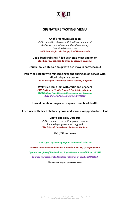

## **SIGNATURE TASTING MENU**

#### **Chef's Premium Selection**

*Chilled shredded abalone with jellyfish in sesame oil Barbecued pork with osmanthus flower honey Deep-fried shrimp toast 2017 Pinot Grigio Livio Felluga, Friuli Venezia Giulia*

**Deep-fried crab shell filled with crab meat and onion** *2016 Blanc des Cabanes, Château du Coureau, Bordeaux*

**Double-boiled chicken soup with fish maw in baby coconut**

**Pan-fried scallop with minced ginger and spring onion served with diced crispy rice cracker** *2015 Chassagne-Montrachet, Olivier Leflaive, Burgundy*

**Wok-fried lamb loin with garlic and peppers**

*2008 Pavillon de Léoville Poyferré, Saint-Julien, Bordeaux 2008 Château Pape Clément, Pessac-Léognan, Bordeaux 2012 Château Palmer, Margaux, Bordeaux*

**Braised bamboo fungus with spinach and black truffle**

**Fried rice with diced abalone, goose and shrimp wrapped in lotus leaf**

#### **Chef's Specialty Desserts**

*Chilled mango cream with sago and pomelo Steamed sponge cake with egg yolk 2014 Prince de Saint-Aubin, Sauternes, Bordeaux*

*HK\$1,788 per person*

*With a glass of champagne from Sommelier's selection Selected premium wines available at an additional HK\$1,550 per person Upgrade to a glass of 2008 Château Pape Clément at an additional HK\$538 Upgrade to a glass of 2012 Château Palmer at an additional HK\$968*

*Minimum order for 2 persons or above*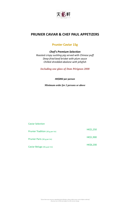

## **PRUNIER CAVIAR & CHEF PAUL APPETIZERS**

# **Prunier Caviar 15g**

*Chef's Premium Selection Roasted crispy suckling pig served with Chinese puff Deep-fried beef brisket with plum sauce Chilled shredded abalone with jellyfish*

*Including one glass of Dom Pérignon 2008*

*HK\$892 per person*

*Minimum order for 2 persons or above*

| <b>Caviar Selection</b>          |           |
|----------------------------------|-----------|
| Prunier Tradition (30 g per tin) | HK\$1,250 |
| Prunier Paris (30 g per tin)     | HK\$1,900 |
| Caviar Beluga (30 g per tin)     | HK\$6,200 |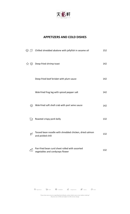

# **APPETIZERS AND COLD DISHES**

|                                                       | $\mathbb{Q} \oslash$ Chilled shredded abalone with jellyfish in sesame oil        | 152 |
|-------------------------------------------------------|-----------------------------------------------------------------------------------|-----|
| ☆ ?</td <td>Deep-fried shrimp toast</td> <td>142</td> | Deep-fried shrimp toast                                                           | 142 |
|                                                       | Deep-fried beef brisket with plum sauce                                           | 142 |
|                                                       | Wok-fried frog leg with spiced pepper salt                                        | 142 |
| ௵                                                     | Wok-fried soft shell crab with port wine sauce                                    | 142 |
| $\sum_{n=1}^{\infty}$                                 | Roasted crispy pork belly                                                         | 132 |
| Y                                                     | Tossed bean noodle with shredded chicken, dried salmon<br>and pickled chili       | 132 |
| จ                                                     | Pan-fried bean curd sheet rolled with assorted<br>vegetables and cordyceps flower | 132 |

*"If you have any concerns regarding food allergies, please inform your server before ordering" All prices are in HK\$ and subject to 10% service charge*

 $\vec{r}$  = Signature  $\vec{r}$  = Pork  $\vec{P}$  = Shellfish  $\vec{q}$  = Vegetarian  $\vec{p}$  = Spicy  $\vec{P}$  = Nuts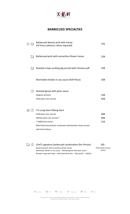

### **BARBECUED SPECIALTIES**

| Barbecued pork with osmanthus flower honey<br>فيسيم<br>فيسم<br>Roasted crispy suckling pig served with Chinese puff<br>Marinated chicken in soy sauce (Half Piece)<br>Roasted goose with plum sauce<br>(Regular portion)<br>(Half piece one course)<br>Tin Lung Heen Peking duck<br>(Half piece one course)<br>(Whole piece one course) *<br>* Additional course:<br>Wok-fried minced duck, mushroom and bamboo shoot served<br>with fresh lettuce |  | Barbecued Iberian pork with honey<br>(24 hours advance notice required) | 376               |
|----------------------------------------------------------------------------------------------------------------------------------------------------------------------------------------------------------------------------------------------------------------------------------------------------------------------------------------------------------------------------------------------------------------------------------------------------|--|-------------------------------------------------------------------------|-------------------|
|                                                                                                                                                                                                                                                                                                                                                                                                                                                    |  |                                                                         | 238               |
|                                                                                                                                                                                                                                                                                                                                                                                                                                                    |  |                                                                         | 338               |
|                                                                                                                                                                                                                                                                                                                                                                                                                                                    |  |                                                                         | 268               |
|                                                                                                                                                                                                                                                                                                                                                                                                                                                    |  |                                                                         | 338<br>628        |
|                                                                                                                                                                                                                                                                                                                                                                                                                                                    |  |                                                                         | 488<br>898<br>216 |



Chef's signature barbecued combination (Per Person) 185 Barbecued pork with osmanthus flower honey Marinated chicken in soy sauce、Roasted goose with plum sauce Roasted crispy pork belly、Marinated beef shin、Pig knuckle、Jellyfish Three kinds of your choice

 $\mathcal{L}$  = Signature  $\mathbb{R}$  = Pork  $\mathbb{D}$  = Shellfish  $\mathbb{D}$  = Vegetarian  $\mathbb{D}$  = Spicy  $\mathbb{D}$  = Nuts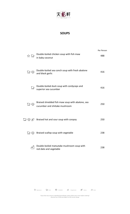

## **SOUPS**

| ☆ 保                                                                          | Double-boiled chicken soup with fish maw<br>in baby coconut                        | Per Person<br>488 |
|------------------------------------------------------------------------------|------------------------------------------------------------------------------------|-------------------|
| $\mathbb{G}$ $\mathbb{Q}$                                                    | Double-boiled sea conch soup with fresh abalone<br>and black garlic                | 416               |
| ra<br>Tana                                                                   | Double-boiled duck soup with cordyceps and<br>superior sea cucumber                | 416               |
| にょ め                                                                         | Braised shredded fish maw soup with abalone, sea<br>cucumber and shiitake mushroom | 250               |
|                                                                              | ্রির �� � Braised hot and sour soup with conpoy                                    | 250               |
| こうしょう じょうしょう じょうかい じょうかい しょうかい しゅうしょう しょうしょう こうしょう こうしょう こうしゃ こうしゃ こうしゃ こうしゃ | Braised scallop soup with vegetable                                                | 238               |
|                                                                              | Double-boiled matsutake mushroom soup with<br>red date and vegetable               | 238               |

 $\overleftrightarrow{\lambda}$  = Signature  $\overleftrightarrow{\lambda}$  = Pork  $\overline{\mathbb{P}}$  = Shellfish  $\overrightarrow{\mathbb{O}}$  = Vegetarian  $\overleftrightarrow{\mathbb{P}}$  = Spicy  $\overrightarrow{\mathbb{O}}$  = Nuts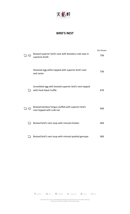

### **BIRD'S NEST**

|        |                                                                                    | Per Person |
|--------|------------------------------------------------------------------------------------|------------|
| QIA    | Braised superior bird's nest with boneless crab claw in<br>supreme broth           | 738        |
|        | Steamed egg white topped with superior bird's nest<br>and caviar                   | 738        |
| فكمهل  | Scrambled egg with braised superior bird's nest topped<br>with fresh black truffle | 678        |
| ৻৻୲ৡ   | Braised bamboo fungus stuffed with superior bird's<br>nest topped with crab roe    | 568        |
| فيسم   | Braised bird's nest soup with minced chicken                                       | 368        |
| (mr. 3 | Braised bird's nest soup with minced spotted garoupa                               | 368        |

 $\overleftrightarrow{\lambda}$  = Signature  $\overleftrightarrow{\mathbf{w}}$  = Pork  $\overline{\mathbf{P}}$  = Shellfish  $\overrightarrow{\mathbf{O}}$  = Vegetarian  $\overleftrightarrow{\mathbf{P}}$  = Spicy  $\overrightarrow{\mathbf{O}}$  = Nuts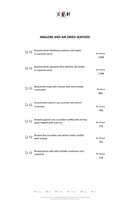

# **ABALONE AND AIR DRIED SEAFOOD**

|                   | Braised whole Yoshihama abalone (16 heads)<br>in supreme sauce                  | Per Person<br>5,888 |
|-------------------|---------------------------------------------------------------------------------|---------------------|
| <b>(2)</b> 12     | Braised whole Japanese Oma abalone (26 heads)<br>in supreme sauce               | Per Person<br>1,988 |
| (mr 613           | Braised fish maw with Yunnan ham and shiitake<br>mushroom                       | Per Piece<br>888    |
| ଡ଼୲ୡ              | Braised Kanto superior sea cucumber with porcini<br>mushroom                    | Per Person<br>408   |
| (J) Engl          | Braised superior sea cucumber stuffed with shrimp<br>paste topped with crab roe | Per Person<br>278   |
|                   | Braised Sea cucumber and winter melon stuffed<br>with conpoy                    | Per Person<br>242   |
| لاسم<br>مس<br>613 | Braised goose web with shiitake mushroom and<br>cuttlefish                      | Per Person<br>218   |

 $\overleftrightarrow{\lambda}$  = Signature  $\overleftrightarrow{\mathbf{w}}$  = Pork  $\overline{\mathbf{P}}$  = Shellfish  $\overrightarrow{\mathbf{O}}$  = Vegetarian  $\overleftrightarrow{\mathbf{P}}$  = Spicy  $\overrightarrow{\mathbf{O}}$  = Nuts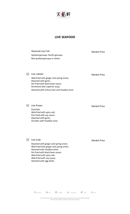

#### **LIVE SEAFOOD**

Steamed Live Fish Market Price Spotted garoupa, Pacific garoupa Red spotted garoupa or others  $\mathbb{Q}$  Live Lobster Market Price Wok-fried with ginger and spring onion; Steamed with garlic; Stir-fried with black bean sauce; Simmered with superior soup; Steamed with Jinhua ham and Huadiao wine

**Algorithm Community Community** Community Community Community Community Community Community Community Community Community Community Community Community Community Community Community Community Community Community Community

Poached; Wok-fried with spicy salt; Pan-fried with soy sauce; Steamed with garlic; Drunken with Huadiao wine

**Solution Crab** Market Price

Steamed with ginger and spring onion; Wok-fried with ginger and spring onion; Steamed with Huadiao wine; Stir-fried with black bean sauce; Wok-fried with spicy salt; Wok-fried with soy sauce; Steamed with egg white

 $\overleftrightarrow{\lambda}$  = Signature  $\overleftrightarrow{\mathbf{w}}$  = Pork  $\overline{\mathbb{P}}$  = Shellfish  $\overrightarrow{\mathbb{O}}$  = Vegetarian  $\overleftrightarrow{\mathbb{P}}$  = Spicy  $\overrightarrow{\mathbb{O}}$  = Nuts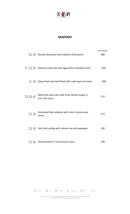

### **SEAFOOD**

|                                                 |                                                                                  | Per Person |
|-------------------------------------------------|----------------------------------------------------------------------------------|------------|
|                                                 | Read Australian fresh abalone (half piece)                                       | 388        |
|                                                 | $\hat{\mathbb{R}}$ $\mathbb{Q}$ Steamed crab claw with egg white in Huadiao wine | 328        |
|                                                 | $\hat{\mathbb{R}} \otimes$ Deep-fried crab shell filled with crab meat and onion | 288        |
| A DE                                            | Wok-fried razor clam with fresh yellow fungus in<br>X.O. chili sauce             | 212        |
| $\mathbb{G} \oplus$                             | Simmered fresh abalone with clam in white wine<br>sauce                          | 212        |
|                                                 | transparagus Pan-fried scallop with salmon roe and asparagus                     | 166        |
| $\begin{pmatrix} -3 & 0 \\ 0 & 0 \end{pmatrix}$ | Stewed oyster in citrus honey sauce                                              | 148        |

 $\vec{\lambda}$  = *Signature*  $\vec{\lambda}$  = *Pork*  $\vec{\omega}$  = *Shellfish*  $\vec{\omega}$  = *Vegetarian*  $\vec{\omega}$  = *Spicy*  $\vec{\omega}$  = *Nuts*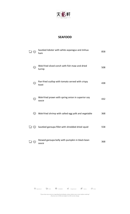

### **SEAFOOD**

|     | Sautéed lobster with white asparagus and Jinhua<br>ham     | 858 |
|-----|------------------------------------------------------------|-----|
| ⅏   | Wok-fried sliced conch with fish maw and dried<br>turnip   | 508 |
| ▧   | Pan-fried scallop with tomato served with crispy<br>toast  | 438 |
| ▧   | Wok-fried prawn with spring onion in superior soy<br>sauce | 432 |
| ళ্⊉ | Wok-fried shrimp with salted egg yolk and vegetable        | 368 |
|     | Sautéed garoupa fillet with shredded dried squid           | 558 |
|     | Stewed garoupa belly with pumpkin in black bean<br>sauce   | 368 |

 $\overleftrightarrow{\lambda}$  = Signature  $\overleftrightarrow{\mathbf{w}}$  = Pork  $\overline{\mathbf{W}}$  = Shellfish  $\overrightarrow{\mathbf{w}}$  = Vegetarian  $\overleftrightarrow{\mathbf{w}}$  = Spicy  $\overrightarrow{\mathbf{S}}$  = Nuts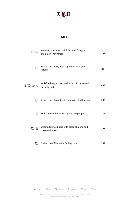

# **MEAT**

|                                                                                       | Pan-fried Kurobuta pork filled with foie gras<br>and onion (Per Person) | 192 |
|---------------------------------------------------------------------------------------|-------------------------------------------------------------------------|-----|
| $\approx 5$                                                                           | Braised pork belly with supreme sauce (Per<br>Person)                   | 128 |
| $\overleftrightarrow{\omega} \overleftrightarrow{\omega} \overleftrightarrow{\omega}$ | Wok-fried wagyu beef with X.O. chili sauce and<br>fresh lily bulb       | 668 |
| $\mathbb{C}^3$                                                                        | Stewed beef brisket with potato in Chu Hou sauce                        | 282 |
| Y)                                                                                    | Wok-fried lamb loin with garlic and peppers                             | 282 |
| <b>13 @</b>                                                                           | Steamed minced pork with diced abalone and<br>preserved meat            | 262 |
| لچمها                                                                                 | Braised beef fillet with Kyoho grape                                    | 262 |

 $\mathcal{L}_{\text{F}-Signature}$   $\mathbb{R}_{\text{F}-Pork}$   $\mathbb{P}_{\text{F}-Shelifish}$   $\mathbb{E}_{\text{F}-Spermutation}$   $\mathbb{E}_{\text{F}-Spermutation}$   $\mathbb{E}_{\text{F}-Spermutation}$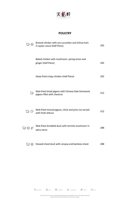

### **POULTRY**

|                                 | Braised chicken with sea cucumber and Jinhua ham<br>in oyster sauce (Half Piece)          | 292 |
|---------------------------------|-------------------------------------------------------------------------------------------|-----|
|                                 | Baked chicken with mushroom, spring onion and<br>ginger (Half Piece)                      | 292 |
|                                 | Deep-fried crispy chicken (Half Piece)                                                    | 292 |
| <b>Ave</b>                      | Wok-fried sliced pigeon with Chinese Kale Simmered<br>pigeon fillet with chestnut         | 312 |
|                                 | <b>EVALUATE:</b> Wok-fried minced pigeon, chive and pine nut served<br>with fresh lettuce | 312 |
| $\mathbb{G} \otimes \mathbb{F}$ | Wok-fried shredded duck with termite mushroom in<br>spicy sauce                           | 288 |
|                                 | ි මේ Stewed sliced duck with conpoy and bamboo shoot                                      | 288 |

 $\overrightarrow{X}$  = Signature  $\overrightarrow{X}$  = Pork  $\overrightarrow{Y}$  = Shellfish  $\overrightarrow{Y}$  = Vegetarian  $\overrightarrow{Y}$  = Spicy  $\overrightarrow{S}$  = Nuts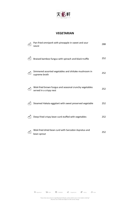

### **VEGETARIAN**

| Pan-fried omnipork with pineapple in sweet and sour<br>sauce                      | 288 |
|-----------------------------------------------------------------------------------|-----|
| Braised bamboo fungus with spinach and black truffle                              | 252 |
| Simmered assorted vegetables and shiitake mushroom in<br>supreme broth            | 252 |
| Wok-fried brown fungus and seasonal crunchy vegetables<br>served in a crispy nest | 252 |
| Steamed Hakata eggplant with sweet preserved vegetable                            | 252 |
| Deep-fried crispy bean curd stuffed with vegetables                               | 252 |
| Wok-fried dried bean curd with Sarcodon Aspratus and<br>bean sprout               | 252 |

 $\vec{r}$  = *Signature*  $\vec{r}$  = *Pork*  $\vec{v}$  = *Shellfish*  $\vec{v}$  = *Vegetarian*  $\vec{v}$  = *Spicy*  $\vec{v}$  = *Nuts*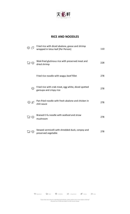

### **RICE AND NOODLES**

| ௵            | Fried rice with diced abalone, goose and shrimp<br>wrapped in lotus leaf (Per Person) | 110 |
|--------------|---------------------------------------------------------------------------------------|-----|
| <b>G</b> @   | Wok-fried glutinous rice with preserved meat and<br>dried shrimp                      | 228 |
|              | Fried rice noodle with wagyu beef fillet                                              | 278 |
| ▧            | Fried rice with crab meat, egg white, diced spotted<br>garoupa and crispy rice        | 278 |
| ☜ جن         | Pan-fried noodle with fresh abalone and chicken in<br>chili sauce                     | 278 |
| <b>DE 12</b> | Braised E-fu noodle with seafood and straw<br>mushroom                                | 278 |
|              | Stewed vermicelli with shredded duck, conpoy and<br>preserved vegetable               | 278 |

 $\mathcal{L}_{\mathsf{Poisson}}$  =  $\mathcal{L}_{\mathsf{S}}$  =  $\mathcal{L}_{\mathsf{Syl}}$  =  $\mathcal{L}_{\mathsf{Syl}}$  =  $\mathcal{L}_{\mathsf{Syl}}$  =  $\mathcal{L}_{\mathsf{Syl}}$  =  $\mathcal{L}_{\mathsf{Syl}}$  =  $\mathcal{L}_{\mathsf{Syl}}$  =  $\mathcal{L}_{\mathsf{Syl}}$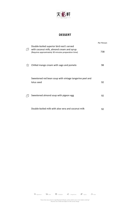

### **DESSERT**

|   |                                                                                                                                                | Per Person |
|---|------------------------------------------------------------------------------------------------------------------------------------------------|------------|
|   | Double-boiled superior bird nest's served<br>with coconut milk, almond cream and syrup<br>(Requires approximately 30 minutes preparation time) | 738        |
| ☆ | Chilled mango cream with sago and pomelo                                                                                                       | 98         |
|   | Sweetened red bean soup with vintage tangerine peel and<br>lotus seed                                                                          | 92         |
|   | Sweetened almond soup with pigeon egg                                                                                                          | 92         |
|   | Double-boiled milk with aloe vera and coconut milk                                                                                             | 92         |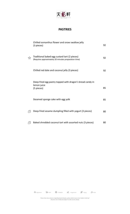

## **PASTRIES**

|   | Chilled osmanthus flower and snow swallow jelly<br>(3 pieces)                                         | 92 |
|---|-------------------------------------------------------------------------------------------------------|----|
| ☆ | Traditional baked egg custard tart (2 pieces)<br>(Requires approximately 20 minutes preparation time) | 92 |
|   | Chilled red date and coconut jelly (3 pieces)                                                         | 92 |
|   | Deep-fried egg pastry topped with dragon's bread candy in<br>lemon juice<br>(5 pieces)                | 85 |
|   | Steamed sponge cake with egg yolk                                                                     | 85 |
|   | Deep-fried sesame dumpling filled with yogurt (3 pieces)                                              | 80 |
|   | Baked shredded coconut tart with assorted nuts (3 pieces)                                             | 80 |

 $\vec{r}$  = *Signature*  $\vec{r}$  = *Pork*  $\vec{P}$  = *Shellfish*  $\vec{q}$  = *Vegetarian*  $\vec{r}$  = *Spicy*  $\vec{P}$  = *Nuts*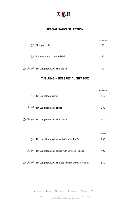

# **SPECIAL SAUCE SELECTION**

|                                 |                                | Per Person |
|---------------------------------|--------------------------------|------------|
| Y)                              | Chopped chili                  | 30         |
| Y)                              | Soy sauce with chopped chili   | 30         |
| $\mathbb{G} \otimes \mathbb{Z}$ | Tin Lung Heen X.O. chili sauce | 42         |

### **TIN LUNG HEEN SPECIAL GIFT BOX**

|                              |                                                                          | Per Bottle     |
|------------------------------|--------------------------------------------------------------------------|----------------|
| $\oslash$                    | Tin Lung Heen walnut                                                     | 110            |
| $\mathbb{Q}$ of $\mathbb{Z}$ | Tin Lung Heen chili sauce                                                | 285            |
|                              | ្លៃ $\mathcal{D} \not\cong \mathcal{D}$ Tin Lung Heen X.O. chili sauce   | 420            |
|                              |                                                                          |                |
| $\varnothing$                | Tin Lung Heen walnut with Chinese Tea Set                                | Per Set<br>230 |
|                              | $\mathcal{D} \mathcal{D}$ Tin Lung Heen chili sauce with Chinese Tea Set | 405            |
|                              | ্রিয় <i>§ গ</i> Tin Lung Heen X.O. chili sauce with Chinese Tea Set     | 540            |

 $\overleftrightarrow{\lambda}$  = Signature  $\overleftrightarrow{\mathbf{w}}$  = Pork  $\overline{\mathbb{D}}$  = Shellfish  $\overrightarrow{\mathbb{D}}$  = Vegetarian  $\overleftrightarrow{\mathbb{D}}$  = Spicy  $\overrightarrow{\mathbb{D}}$  = Nuts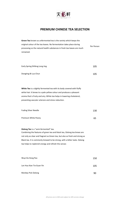

# **PREMIUM CHINESE TEA SELECTION**

| Green Tea known as unfermented tea is the variety which keeps the            |            |
|------------------------------------------------------------------------------|------------|
| original colour of the tea leaves. No fermentation takes place during        | Per Person |
| processing so the natural health substances in fresh tea leaves are much     |            |
| remained.                                                                    |            |
|                                                                              |            |
|                                                                              |            |
| Early Spring Shifeng Long Jing                                               | 105        |
|                                                                              |            |
| Dongting Bi Luo Chun                                                         | 105        |
|                                                                              |            |
|                                                                              |            |
|                                                                              |            |
| White Tea is a slightly fermented tea with its body covered with fluffy      |            |
| white hair. It brews to a pale yellow colour and produces a pleasant         |            |
| aroma that is fruity and airy. White tea helps in lowering cholesterol,      |            |
| preventing vascular sclerosis and stress reduction.                          |            |
|                                                                              |            |
| <b>Fuding Silver Needle</b>                                                  | 130        |
|                                                                              |            |
| Premium White Peony                                                          | 65         |
|                                                                              |            |
| Oolong Tea is a "semi-fermented" tea.                                        |            |
| Combining the features of green tea and black tea, Oolong tea brews are      |            |
| not only as clear and fragrant as Green tea, but also as fresh and strong as |            |
| Black tea. It is commonly brewed to be strong, with a bitter taste. Oolong   |            |
| tea helps to replenish energy and refresh the senses                         |            |
|                                                                              |            |
|                                                                              |            |
| Wuyi Da Hong Pao                                                             | 150        |
|                                                                              |            |
| Lan Hua Xian Tie Guan Yin                                                    | 105        |
|                                                                              |            |
| Monkey Pick Oolong                                                           | 90         |
|                                                                              |            |

*All prices are in HK\$ and subject to 10% service charge*